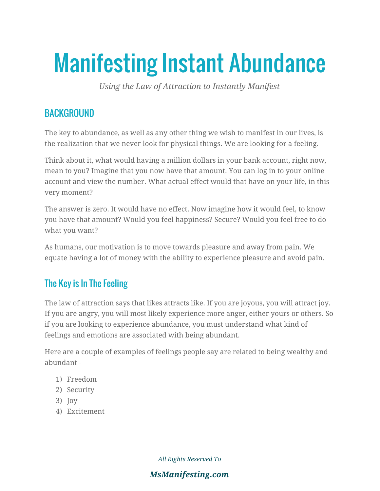# Manifesting Instant Abundance

*Using the Law of Attraction to Instantly Manifest*

## **BACKGROUND**

The key to abundance, as well as any other thing we wish to manifest in our lives, is the realization that we never look for physical things. We are looking for a feeling.

Think about it, what would having a million dollars in your bank account, right now, mean to you? Imagine that you now have that amount. You can log in to your online account and view the number. What actual effect would that have on your life, in this very moment?

The answer is zero. It would have no effect. Now imagine how it would feel, to know you have that amount? Would you feel happiness? Secure? Would you feel free to do what you want?

As humans, our motivation is to move towards pleasure and away from pain. We equate having a lot of money with the ability to experience pleasure and avoid pain.

# The Key is In The Feeling

The law of attraction says that likes attracts like. If you are joyous, you will attract joy. If you are angry, you will most likely experience more anger, either yours or others. So if you are looking to experience abundance, you must understand what kind of feelings and emotions are associated with being abundant.

Here are a couple of examples of feelings people say are related to being wealthy and abundant -

- 1) Freedom
- 2) Security
- 3) Joy
- 4) Excitement

*All Rights Reserved To*

#### *MsManifesting.com*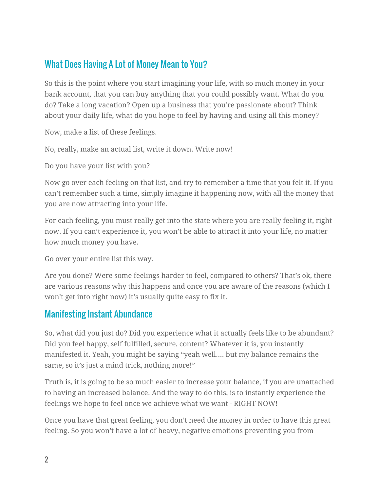## What Does Having A Lot of Money Mean to You?

So this is the point where you start imagining your life, with so much money in your bank account, that you can buy anything that you could possibly want. What do you do? Take a long vacation? Open up a business that you're passionate about? Think about your daily life, what do you hope to feel by having and using all this money?

Now, make a list of these feelings.

No, really, make an actual list, write it down. Write now!

Do you have your list with you?

Now go over each feeling on that list, and try to remember a time that you felt it. If you can't remember such a time, simply imagine it happening now, with all the money that you are now attracting into your life.

For each feeling, you must really get into the state where you are really feeling it, right now. If you can't experience it, you won't be able to attract it into your life, no matter how much money you have.

Go over your entire list this way.

Are you done? Were some feelings harder to feel, compared to others? That's ok, there are various reasons why this happens and once you are aware of the reasons (which I won't get into right now) it's usually quite easy to fix it.

## Manifesting Instant Abundance

So, what did you just do? Did you experience what it actually feels like to be abundant? Did you feel happy, self fulfilled, secure, content? Whatever it is, you instantly manifested it. Yeah, you might be saying "yeah well…. but my balance remains the same, so it's just a mind trick, nothing more!"

Truth is, it is going to be so much easier to increase your balance, if you are unattached to having an increased balance. And the way to do this, is to instantly experience the feelings we hope to feel once we achieve what we want - RIGHT NOW!

Once you have that great feeling, you don't need the money in order to have this great feeling. So you won't have a lot of heavy, negative emotions preventing you from